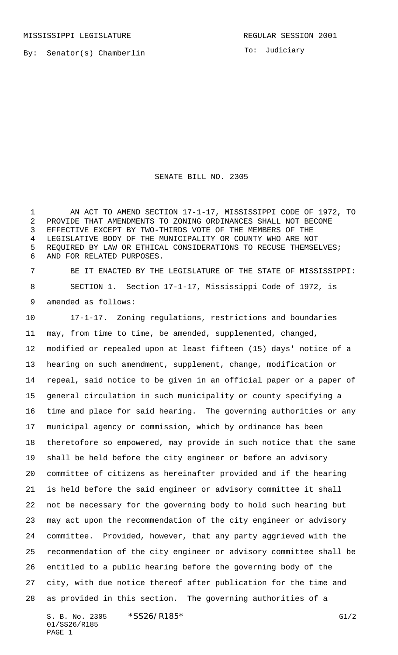MISSISSIPPI LEGISLATURE **REGULAR SESSION 2001** 

To: Judiciary

## SENATE BILL NO. 2305

 AN ACT TO AMEND SECTION 17-1-17, MISSISSIPPI CODE OF 1972, TO PROVIDE THAT AMENDMENTS TO ZONING ORDINANCES SHALL NOT BECOME EFFECTIVE EXCEPT BY TWO-THIRDS VOTE OF THE MEMBERS OF THE LEGISLATIVE BODY OF THE MUNICIPALITY OR COUNTY WHO ARE NOT REQUIRED BY LAW OR ETHICAL CONSIDERATIONS TO RECUSE THEMSELVES; AND FOR RELATED PURPOSES.

 BE IT ENACTED BY THE LEGISLATURE OF THE STATE OF MISSISSIPPI: SECTION 1. Section 17-1-17, Mississippi Code of 1972, is amended as follows:

 17-1-17. Zoning regulations, restrictions and boundaries may, from time to time, be amended, supplemented, changed, modified or repealed upon at least fifteen (15) days' notice of a hearing on such amendment, supplement, change, modification or repeal, said notice to be given in an official paper or a paper of general circulation in such municipality or county specifying a time and place for said hearing. The governing authorities or any municipal agency or commission, which by ordinance has been theretofore so empowered, may provide in such notice that the same shall be held before the city engineer or before an advisory committee of citizens as hereinafter provided and if the hearing is held before the said engineer or advisory committee it shall not be necessary for the governing body to hold such hearing but may act upon the recommendation of the city engineer or advisory committee. Provided, however, that any party aggrieved with the recommendation of the city engineer or advisory committee shall be entitled to a public hearing before the governing body of the city, with due notice thereof after publication for the time and as provided in this section. The governing authorities of a

S. B. No. 2305 \* SS26/R185\* G1/2 01/SS26/R185 PAGE 1